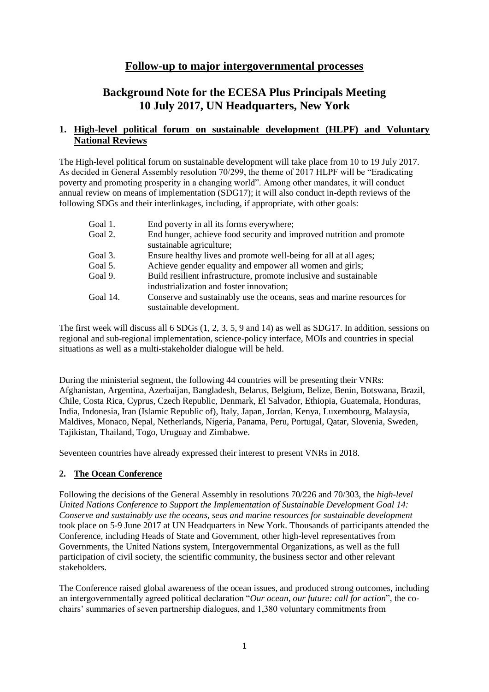# **Follow-up to major intergovernmental processes**

# **Background Note for the ECESA Plus Principals Meeting 10 July 2017, UN Headquarters, New York**

# **1. High-level political forum on sustainable development (HLPF) and Voluntary National Reviews**

The High-level political forum on sustainable development will take place from 10 to 19 July 2017. As decided in General Assembly resolution 70/299, the theme of 2017 HLPF will be "Eradicating poverty and promoting prosperity in a changing world". Among other mandates, it will conduct annual review on means of implementation (SDG17); it will also conduct in-depth reviews of the following SDGs and their interlinkages, including, if appropriate, with other goals:

| Goal 1.  | End poverty in all its forms everywhere;                                                           |
|----------|----------------------------------------------------------------------------------------------------|
| Goal 2.  | End hunger, achieve food security and improved nutrition and promote<br>sustainable agriculture;   |
|          |                                                                                                    |
| Goal 3.  | Ensure healthy lives and promote well-being for all at all ages;                                   |
| Goal 5.  | Achieve gender equality and empower all women and girls;                                           |
| Goal 9.  | Build resilient infrastructure, promote inclusive and sustainable                                  |
|          | industrialization and foster innovation;                                                           |
| Goal 14. | Conserve and sustainably use the oceans, seas and marine resources for<br>sustainable development. |
|          |                                                                                                    |

The first week will discuss all 6 SDGs (1, 2, 3, 5, 9 and 14) as well as SDG17. In addition, sessions on regional and sub-regional implementation, science-policy interface, MOIs and countries in special situations as well as a multi-stakeholder dialogue will be held.

During the ministerial segment, the following 44 countries will be presenting their VNRs: Afghanistan, Argentina, Azerbaijan, Bangladesh, Belarus, Belgium, Belize, Benin, Botswana, Brazil, Chile, Costa Rica, Cyprus, Czech Republic, Denmark, El Salvador, Ethiopia, Guatemala, Honduras, India, Indonesia, Iran (Islamic Republic of), Italy, Japan, Jordan, Kenya, Luxembourg, Malaysia, Maldives, Monaco, Nepal, Netherlands, Nigeria, Panama, Peru, Portugal, Qatar, Slovenia, Sweden, Tajikistan, Thailand, Togo, Uruguay and Zimbabwe.

Seventeen countries have already expressed their interest to present VNRs in 2018.

# **2. The Ocean Conference**

Following the decisions of the General Assembly in resolutions 70/226 and 70/303, the *high-level United Nations Conference to Support the Implementation of Sustainable Development Goal 14: Conserve and sustainably use the oceans, seas and marine resources for sustainable development* took place on 5-9 June 2017 at UN Headquarters in New York. Thousands of participants attended the Conference, including Heads of State and Government, other high-level representatives from Governments, the United Nations system, Intergovernmental Organizations, as well as the full participation of civil society, the scientific community, the business sector and other relevant stakeholders.

The Conference raised global awareness of the ocean issues, and produced strong outcomes, including an intergovernmentally agreed political declaration "*Our ocean, our future: call for action*", the cochairs' summaries of seven partnership dialogues, and 1,380 voluntary commitments from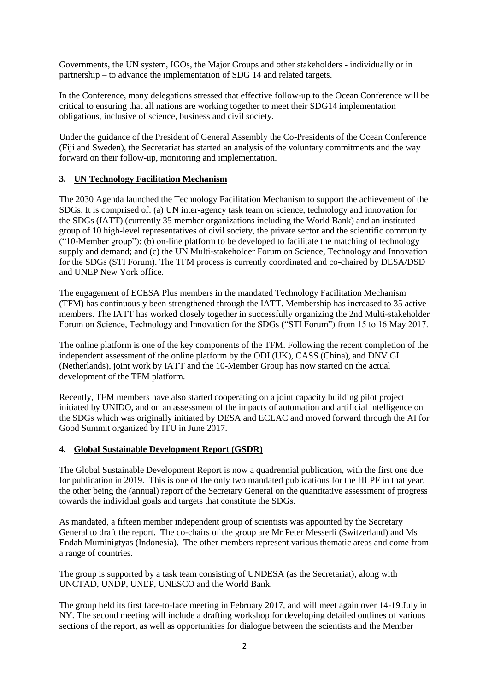Governments, the UN system, IGOs, the Major Groups and other stakeholders - individually or in partnership – to advance the implementation of SDG 14 and related targets.

In the Conference, many delegations stressed that effective follow-up to the Ocean Conference will be critical to ensuring that all nations are working together to meet their SDG14 implementation obligations, inclusive of science, business and civil society.

Under the guidance of the President of General Assembly the Co-Presidents of the Ocean Conference (Fiji and Sweden), the Secretariat has started an analysis of the voluntary commitments and the way forward on their follow-up, monitoring and implementation.

# **3. UN Technology Facilitation Mechanism**

The 2030 Agenda launched the Technology Facilitation Mechanism to support the achievement of the SDGs. It is comprised of: (a) UN inter-agency task team on science, technology and innovation for the SDGs (IATT) (currently 35 member organizations including the World Bank) and an instituted group of 10 high-level representatives of civil society, the private sector and the scientific community  $("10-Member group");$  (b) on-line platform to be developed to facilitate the matching of technology supply and demand; and (c) the UN Multi-stakeholder Forum on Science, Technology and Innovation for the SDGs (STI Forum). The TFM process is currently coordinated and co-chaired by DESA/DSD and UNEP New York office.

The engagement of ECESA Plus members in the mandated Technology Facilitation Mechanism (TFM) has continuously been strengthened through the IATT. Membership has increased to 35 active members. The IATT has worked closely together in successfully organizing the 2nd Multi-stakeholder Forum on Science, Technology and Innovation for the SDGs ("STI Forum") from 15 to 16 May 2017.

The online platform is one of the key components of the TFM. Following the recent completion of the independent assessment of the online platform by the ODI (UK), CASS (China), and DNV GL (Netherlands), joint work by IATT and the 10-Member Group has now started on the actual development of the TFM platform.

Recently, TFM members have also started cooperating on a joint capacity building pilot project initiated by UNIDO, and on an assessment of the impacts of automation and artificial intelligence on the SDGs which was originally initiated by DESA and ECLAC and moved forward through the AI for Good Summit organized by ITU in June 2017.

# **4. Global Sustainable Development Report (GSDR)**

The Global Sustainable Development Report is now a quadrennial publication, with the first one due for publication in 2019. This is one of the only two mandated publications for the HLPF in that year, the other being the (annual) report of the Secretary General on the quantitative assessment of progress towards the individual goals and targets that constitute the SDGs.

As mandated, a fifteen member independent group of scientists was appointed by the Secretary General to draft the report. The co-chairs of the group are Mr Peter Messerli (Switzerland) and Ms Endah Murninigtyas (Indonesia). The other members represent various thematic areas and come from a range of countries.

The group is supported by a task team consisting of UNDESA (as the Secretariat), along with UNCTAD, UNDP, UNEP, UNESCO and the World Bank.

The group held its first face-to-face meeting in February 2017, and will meet again over 14-19 July in NY. The second meeting will include a drafting workshop for developing detailed outlines of various sections of the report, as well as opportunities for dialogue between the scientists and the Member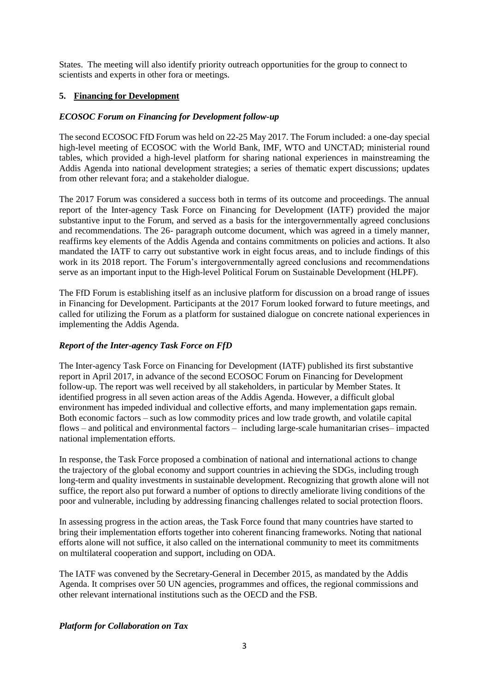States. The meeting will also identify priority outreach opportunities for the group to connect to scientists and experts in other fora or meetings.

# **5. Financing for Development**

#### *ECOSOC Forum on Financing for Development follow-up*

The second ECOSOC FfD Forum was held on 22-25 May 2017. The Forum included: a one-day special high-level meeting of ECOSOC with the World Bank, IMF, WTO and UNCTAD; ministerial round tables, which provided a high-level platform for sharing national experiences in mainstreaming the Addis Agenda into national development strategies; a series of thematic expert discussions; updates from other relevant fora; and a stakeholder dialogue.

The 2017 Forum was considered a success both in terms of its outcome and proceedings. The annual report of the Inter-agency Task Force on Financing for Development (IATF) provided the major substantive input to the Forum, and served as a basis for the intergovernmentally agreed conclusions and recommendations. The 26- paragraph outcome document, which was agreed in a timely manner, reaffirms key elements of the Addis Agenda and contains commitments on policies and actions. It also mandated the IATF to carry out substantive work in eight focus areas, and to include findings of this work in its 2018 report. The Forum's intergovernmentally agreed conclusions and recommendations serve as an important input to the High-level Political Forum on Sustainable Development (HLPF).

The FfD Forum is establishing itself as an inclusive platform for discussion on a broad range of issues in Financing for Development. Participants at the 2017 Forum looked forward to future meetings, and called for utilizing the Forum as a platform for sustained dialogue on concrete national experiences in implementing the Addis Agenda.

### *Report of the Inter-agency Task Force on FfD*

The Inter-agency Task Force on Financing for Development (IATF) published its first substantive report in April 2017, in advance of the second ECOSOC Forum on Financing for Development follow-up. The report was well received by all stakeholders, in particular by Member States. It identified progress in all seven action areas of the Addis Agenda. However, a difficult global environment has impeded individual and collective efforts, and many implementation gaps remain. Both economic factors – such as low commodity prices and low trade growth, and volatile capital flows – and political and environmental factors – including large-scale humanitarian crises– impacted national implementation efforts.

In response, the Task Force proposed a combination of national and international actions to change the trajectory of the global economy and support countries in achieving the SDGs, including trough long-term and quality investments in sustainable development. Recognizing that growth alone will not suffice, the report also put forward a number of options to directly ameliorate living conditions of the poor and vulnerable, including by addressing financing challenges related to social protection floors.

In assessing progress in the action areas, the Task Force found that many countries have started to bring their implementation efforts together into coherent financing frameworks. Noting that national efforts alone will not suffice, it also called on the international community to meet its commitments on multilateral cooperation and support, including on ODA.

The IATF was convened by the Secretary-General in December 2015, as mandated by the Addis Agenda. It comprises over 50 UN agencies, programmes and offices, the regional commissions and other relevant international institutions such as the OECD and the FSB.

#### *Platform for Collaboration on Tax*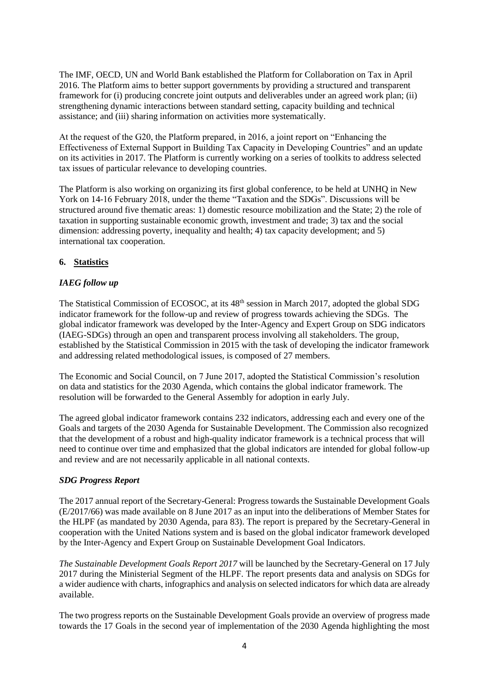The IMF, OECD, UN and World Bank established the Platform for Collaboration on Tax in April 2016. The Platform aims to better support governments by providing a structured and transparent framework for (i) producing concrete joint outputs and deliverables under an agreed work plan; (ii) strengthening dynamic interactions between standard setting, capacity building and technical assistance; and (iii) sharing information on activities more systematically.

At the request of the G20, the Platform prepared, in 2016, a joint report on "Enhancing the Effectiveness of External Support in Building Tax Capacity in Developing Countries" and an update on its activities in 2017. The Platform is currently working on a series of toolkits to address selected tax issues of particular relevance to developing countries.

The Platform is also working on organizing its first global conference, to be held at UNHQ in New York on 14-16 February 2018, under the theme "Taxation and the SDGs". Discussions will be structured around five thematic areas: 1) domestic resource mobilization and the State; 2) the role of taxation in supporting sustainable economic growth, investment and trade; 3) tax and the social dimension: addressing poverty, inequality and health; 4) tax capacity development; and 5) international tax cooperation.

# **6. Statistics**

# *IAEG follow up*

The Statistical Commission of ECOSOC, at its 48th session in March 2017, adopted the global SDG indicator framework for the follow-up and review of progress towards achieving the SDGs. The global indicator framework was developed by the Inter-Agency and Expert Group on SDG indicators (IAEG-SDGs) through an open and transparent process involving all stakeholders. The group, established by the Statistical Commission in 2015 with the task of developing the indicator framework and addressing related methodological issues, is composed of 27 members.

The Economic and Social Council, on 7 June 2017, adopted the Statistical Commission's resolution on data and statistics for the 2030 Agenda, which contains the global indicator framework. The resolution will be forwarded to the General Assembly for adoption in early July.

The agreed global indicator framework contains 232 indicators, addressing each and every one of the Goals and targets of the 2030 Agenda for Sustainable Development. The Commission also recognized that the development of a robust and high-quality indicator framework is a technical process that will need to continue over time and emphasized that the global indicators are intended for global follow-up and review and are not necessarily applicable in all national contexts.

# *SDG Progress Report*

The 2017 annual report of the Secretary-General: Progress towards the Sustainable Development Goals (E/2017/66) was made available on 8 June 2017 as an input into the deliberations of Member States for the HLPF (as mandated by 2030 Agenda, para 83). The report is prepared by the Secretary-General in cooperation with the United Nations system and is based on the global indicator framework developed by the Inter-Agency and Expert Group on Sustainable Development Goal Indicators.

*The Sustainable Development Goals Report 2017* will be launched by the Secretary-General on 17 July 2017 during the Ministerial Segment of the HLPF. The report presents data and analysis on SDGs for a wider audience with charts, infographics and analysis on selected indicators for which data are already available.

The two progress reports on the Sustainable Development Goals provide an overview of progress made towards the 17 Goals in the second year of implementation of the 2030 Agenda highlighting the most